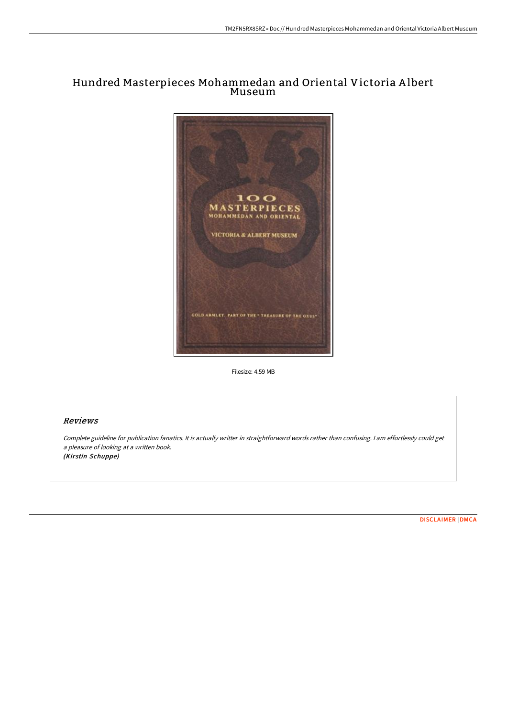# Hundred Masterpieces Mohammedan and Oriental Victoria A lbert Museum



Filesize: 4.59 MB

## Reviews

Complete guideline for publication fanatics. It is actually writter in straightforward words rather than confusing. <sup>I</sup> am effortlessly could get <sup>a</sup> pleasure of looking at <sup>a</sup> written book. (Kirstin Schuppe)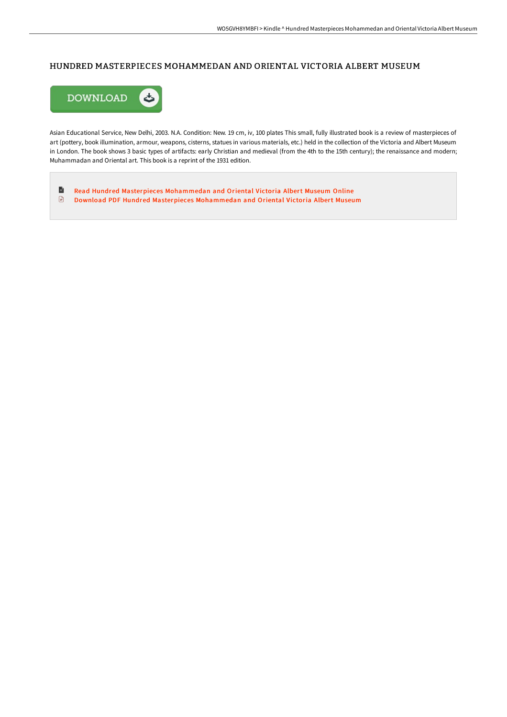## HUNDRED MASTERPIECES MOHAMMEDAN AND ORIENTAL VICTORIA ALBERT MUSEUM



Asian Educational Service, New Delhi, 2003. N.A. Condition: New. 19 cm, iv, 100 plates This small, fully illustrated book is a review of masterpieces of art (pottery, book illumination, armour, weapons, cisterns, statues in various materials, etc.) held in the collection of the Victoria and Albert Museum in London. The book shows 3 basic types of artifacts: early Christian and medieval (from the 4th to the 15th century); the renaissance and modern; Muhammadan and Oriental art. This book is a reprint of the 1931 edition.

 $\blacksquare$ Read Hundred Masterpieces [Mohammedan](http://techno-pub.tech/hundred-masterpieces-mohammedan-and-oriental-vic.html) and Oriental Victoria Albert Museum Online  $\mathbf{r}$ Download PDF Hundred Masterpieces [Mohammedan](http://techno-pub.tech/hundred-masterpieces-mohammedan-and-oriental-vic.html) and Oriental Victoria Albert Museum